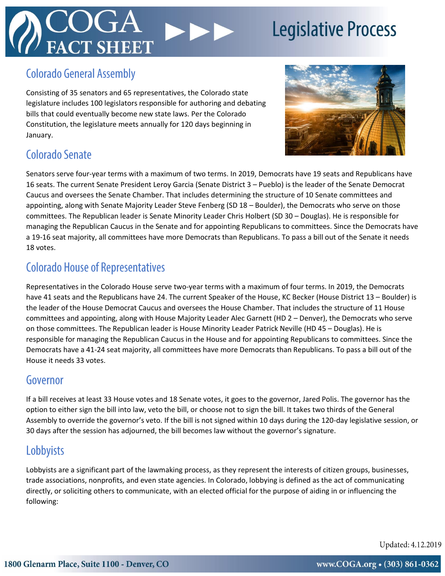# **T SHEET**

## **Legislative Process**

### **Colorado General Assembly**

Consisting of 35 senators and 65 representatives, the Colorado state legislature includes 100 legislators responsible for authoring and debating bills that could eventually become new state laws. Per the Colorado Constitution, the legislature meets annually for 120 days beginning in January.



### Colorado Senate

Senators serve four-year terms with a maximum of two terms. In 2019, Democrats have 19 seats and Republicans have 16 seats. The current Senate President Leroy Garcia (Senate District 3 – Pueblo) is the leader of the Senate Democrat Caucus and oversees the Senate Chamber. That includes determining the structure of 10 Senate committees and appointing, along with Senate Majority Leader Steve Fenberg (SD 18 – Boulder), the Democrats who serve on those committees. The Republican leader is Senate Minority Leader Chris Holbert (SD 30 – Douglas). He is responsible for managing the Republican Caucus in the Senate and for appointing Republicans to committees. Since the Democrats have a 19-16 seat majority, all committees have more Democrats than Republicans. To pass a bill out of the Senate it needs 18 votes.

### **Colorado House of Representatives**

Representatives in the Colorado House serve two-year terms with a maximum of four terms. In 2019, the Democrats have 41 seats and the Republicans have 24. The current Speaker of the House, KC Becker (House District 13 – Boulder) is the leader of the House Democrat Caucus and oversees the House Chamber. That includes the structure of 11 House committees and appointing, along with House Majority Leader Alec Garnett (HD 2 – Denver), the Democrats who serve on those committees. The Republican leader is House Minority Leader Patrick Neville (HD 45 – Douglas). He is responsible for managing the Republican Caucus in the House and for appointing Republicans to committees. Since the Democrats have a 41-24 seat majority, all committees have more Democrats than Republicans. To pass a bill out of the House it needs 33 votes.

### Governor

If a bill receives at least 33 House votes and 18 Senate votes, it goes to the governor, Jared Polis. The governor has the option to either sign the bill into law, veto the bill, or choose not to sign the bill. It takes two thirds of the General Assembly to override the governor's veto. If the bill is not signed within 10 days during the 120-day legislative session, or 30 days after the session has adjourned, the bill becomes law without the governor's signature.

### Lobbyists

Lobbyists are a significant part of the lawmaking process, as they represent the interests of citizen groups, businesses, trade associations, nonprofits, and even state agencies. In Colorado, lobbying is defined as the act of communicating directly, or soliciting others to communicate, with an elected official for the purpose of aiding in or influencing the following:

Updated: 4.12.2019